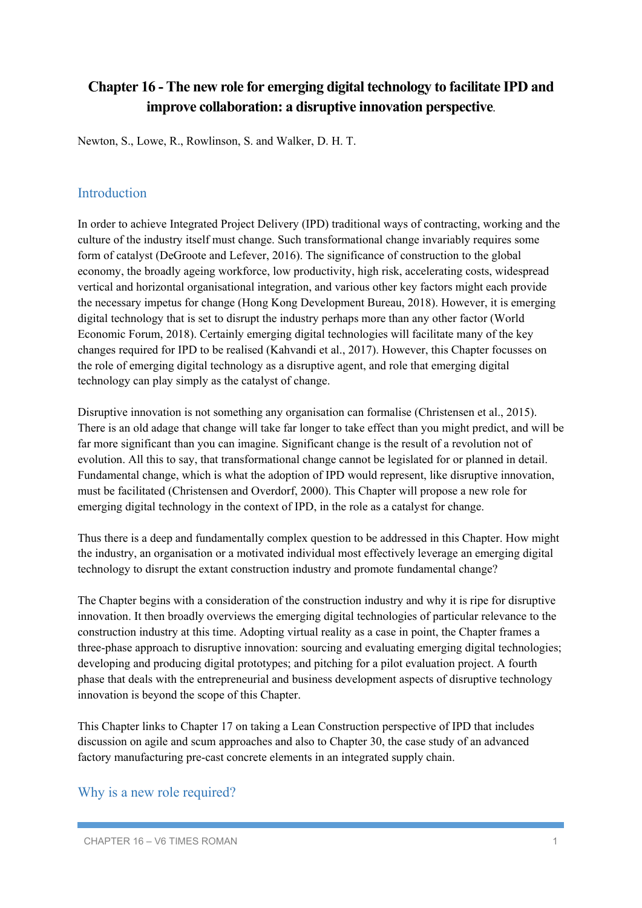# **Chapter 16 - The new role for emerging digital technology to facilitate IPD and improve collaboration: a disruptive innovation perspective**.

Newton, S., Lowe, R., Rowlinson, S. and Walker, D. H. T.

### Introduction

In order to achieve Integrated Project Delivery (IPD) traditional ways of contracting, working and the culture of the industry itself must change. Such transformational change invariably requires some form of catalyst (DeGroote and Lefever, 2016). The significance of construction to the global economy, the broadly ageing workforce, low productivity, high risk, accelerating costs, widespread vertical and horizontal organisational integration, and various other key factors might each provide the necessary impetus for change (Hong Kong Development Bureau, 2018). However, it is emerging digital technology that is set to disrupt the industry perhaps more than any other factor (World Economic Forum, 2018). Certainly emerging digital technologies will facilitate many of the key changes required for IPD to be realised (Kahvandi et al., 2017). However, this Chapter focusses on the role of emerging digital technology as a disruptive agent, and role that emerging digital technology can play simply as the catalyst of change.

Disruptive innovation is not something any organisation can formalise (Christensen et al., 2015). There is an old adage that change will take far longer to take effect than you might predict, and will be far more significant than you can imagine. Significant change is the result of a revolution not of evolution. All this to say, that transformational change cannot be legislated for or planned in detail. Fundamental change, which is what the adoption of IPD would represent, like disruptive innovation, must be facilitated (Christensen and Overdorf, 2000). This Chapter will propose a new role for emerging digital technology in the context of IPD, in the role as a catalyst for change.

Thus there is a deep and fundamentally complex question to be addressed in this Chapter. How might the industry, an organisation or a motivated individual most effectively leverage an emerging digital technology to disrupt the extant construction industry and promote fundamental change?

The Chapter begins with a consideration of the construction industry and why it is ripe for disruptive innovation. It then broadly overviews the emerging digital technologies of particular relevance to the construction industry at this time. Adopting virtual reality as a case in point, the Chapter frames a three-phase approach to disruptive innovation: sourcing and evaluating emerging digital technologies; developing and producing digital prototypes; and pitching for a pilot evaluation project. A fourth phase that deals with the entrepreneurial and business development aspects of disruptive technology innovation is beyond the scope of this Chapter.

This Chapter links to Chapter 17 on taking a Lean Construction perspective of IPD that includes discussion on agile and scum approaches and also to Chapter 30, the case study of an advanced factory manufacturing pre-cast concrete elements in an integrated supply chain.

### Why is a new role required?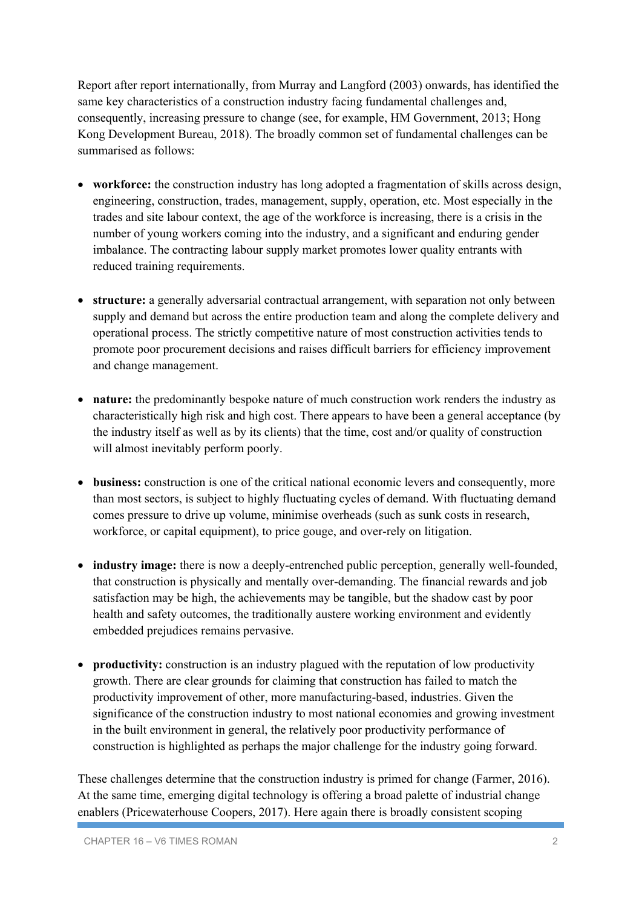Report after report internationally, from Murray and Langford (2003) onwards, has identified the same key characteristics of a construction industry facing fundamental challenges and, consequently, increasing pressure to change (see, for example, HM Government, 2013; Hong Kong Development Bureau, 2018). The broadly common set of fundamental challenges can be summarised as follows:

- **workforce:** the construction industry has long adopted a fragmentation of skills across design, engineering, construction, trades, management, supply, operation, etc. Most especially in the trades and site labour context, the age of the workforce is increasing, there is a crisis in the number of young workers coming into the industry, and a significant and enduring gender imbalance. The contracting labour supply market promotes lower quality entrants with reduced training requirements.
- structure: a generally adversarial contractual arrangement, with separation not only between supply and demand but across the entire production team and along the complete delivery and operational process. The strictly competitive nature of most construction activities tends to promote poor procurement decisions and raises difficult barriers for efficiency improvement and change management.
- **nature:** the predominantly bespoke nature of much construction work renders the industry as characteristically high risk and high cost. There appears to have been a general acceptance (by the industry itself as well as by its clients) that the time, cost and/or quality of construction will almost inevitably perform poorly.
- **business:** construction is one of the critical national economic levers and consequently, more than most sectors, is subject to highly fluctuating cycles of demand. With fluctuating demand comes pressure to drive up volume, minimise overheads (such as sunk costs in research, workforce, or capital equipment), to price gouge, and over-rely on litigation.
- **industry image:** there is now a deeply-entrenched public perception, generally well-founded, that construction is physically and mentally over-demanding. The financial rewards and job satisfaction may be high, the achievements may be tangible, but the shadow cast by poor health and safety outcomes, the traditionally austere working environment and evidently embedded prejudices remains pervasive.
- **productivity:** construction is an industry plagued with the reputation of low productivity growth. There are clear grounds for claiming that construction has failed to match the productivity improvement of other, more manufacturing-based, industries. Given the significance of the construction industry to most national economies and growing investment in the built environment in general, the relatively poor productivity performance of construction is highlighted as perhaps the major challenge for the industry going forward.

These challenges determine that the construction industry is primed for change (Farmer, 2016). At the same time, emerging digital technology is offering a broad palette of industrial change enablers (Pricewaterhouse Coopers, 2017). Here again there is broadly consistent scoping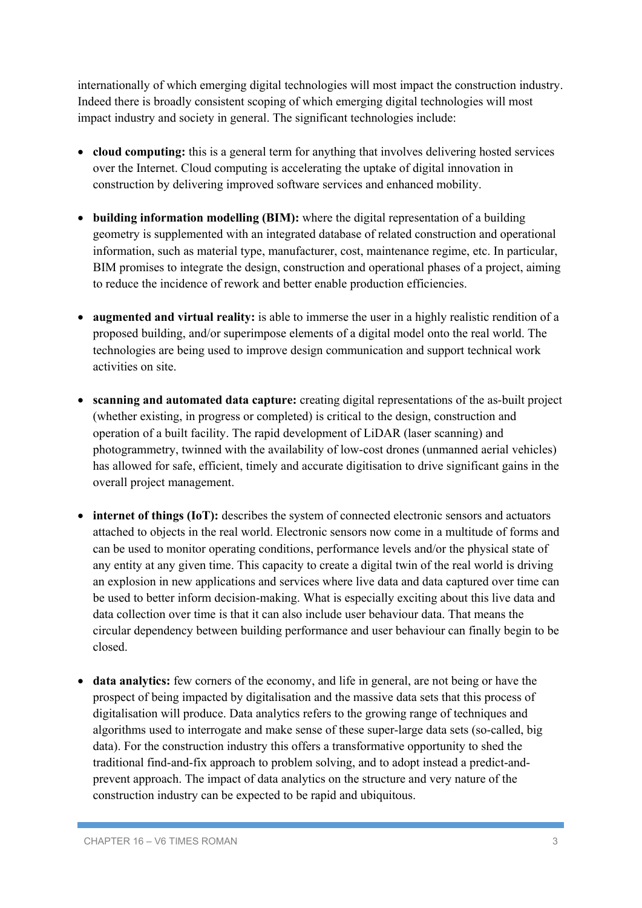internationally of which emerging digital technologies will most impact the construction industry. Indeed there is broadly consistent scoping of which emerging digital technologies will most impact industry and society in general. The significant technologies include:

- **cloud computing:** this is a general term for anything that involves delivering hosted services over the Internet. Cloud computing is accelerating the uptake of digital innovation in construction by delivering improved software services and enhanced mobility.
- **building information modelling (BIM):** where the digital representation of a building geometry is supplemented with an integrated database of related construction and operational information, such as material type, manufacturer, cost, maintenance regime, etc. In particular, BIM promises to integrate the design, construction and operational phases of a project, aiming to reduce the incidence of rework and better enable production efficiencies.
- **augmented and virtual reality:** is able to immerse the user in a highly realistic rendition of a proposed building, and/or superimpose elements of a digital model onto the real world. The technologies are being used to improve design communication and support technical work activities on site.
- **scanning and automated data capture:** creating digital representations of the as-built project (whether existing, in progress or completed) is critical to the design, construction and operation of a built facility. The rapid development of LiDAR (laser scanning) and photogrammetry, twinned with the availability of low-cost drones (unmanned aerial vehicles) has allowed for safe, efficient, timely and accurate digitisation to drive significant gains in the overall project management.
- **internet of things (IoT):** describes the system of connected electronic sensors and actuators attached to objects in the real world. Electronic sensors now come in a multitude of forms and can be used to monitor operating conditions, performance levels and/or the physical state of any entity at any given time. This capacity to create a digital twin of the real world is driving an explosion in new applications and services where live data and data captured over time can be used to better inform decision-making. What is especially exciting about this live data and data collection over time is that it can also include user behaviour data. That means the circular dependency between building performance and user behaviour can finally begin to be closed.
- **data analytics:** few corners of the economy, and life in general, are not being or have the prospect of being impacted by digitalisation and the massive data sets that this process of digitalisation will produce. Data analytics refers to the growing range of techniques and algorithms used to interrogate and make sense of these super-large data sets (so-called, big data). For the construction industry this offers a transformative opportunity to shed the traditional find-and-fix approach to problem solving, and to adopt instead a predict-andprevent approach. The impact of data analytics on the structure and very nature of the construction industry can be expected to be rapid and ubiquitous.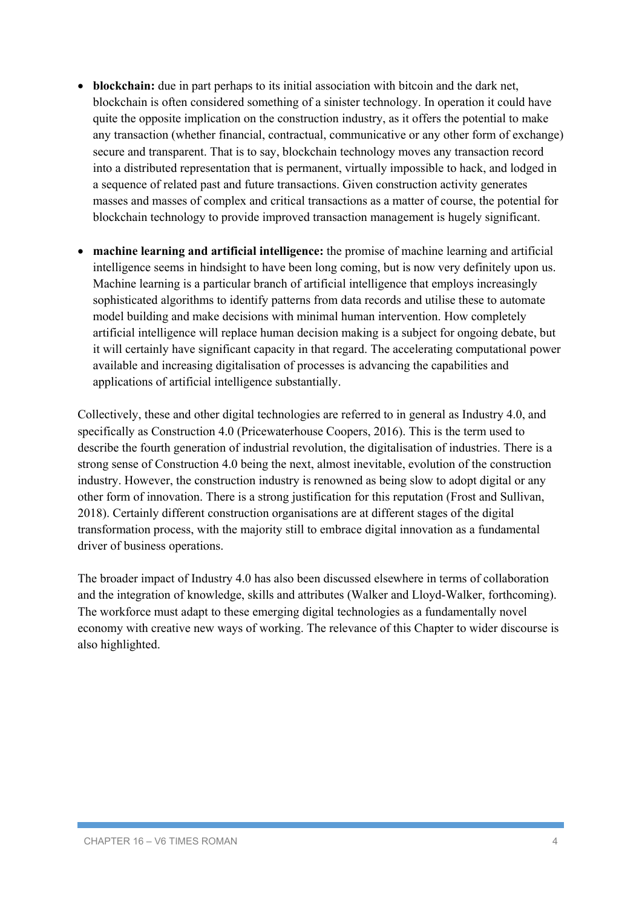- **blockchain:** due in part perhaps to its initial association with bitcoin and the dark net, blockchain is often considered something of a sinister technology. In operation it could have quite the opposite implication on the construction industry, as it offers the potential to make any transaction (whether financial, contractual, communicative or any other form of exchange) secure and transparent. That is to say, blockchain technology moves any transaction record into a distributed representation that is permanent, virtually impossible to hack, and lodged in a sequence of related past and future transactions. Given construction activity generates masses and masses of complex and critical transactions as a matter of course, the potential for blockchain technology to provide improved transaction management is hugely significant.
- **machine learning and artificial intelligence:** the promise of machine learning and artificial intelligence seems in hindsight to have been long coming, but is now very definitely upon us. Machine learning is a particular branch of artificial intelligence that employs increasingly sophisticated algorithms to identify patterns from data records and utilise these to automate model building and make decisions with minimal human intervention. How completely artificial intelligence will replace human decision making is a subject for ongoing debate, but it will certainly have significant capacity in that regard. The accelerating computational power available and increasing digitalisation of processes is advancing the capabilities and applications of artificial intelligence substantially.

Collectively, these and other digital technologies are referred to in general as Industry 4.0, and specifically as Construction 4.0 (Pricewaterhouse Coopers, 2016). This is the term used to describe the fourth generation of industrial revolution, the digitalisation of industries. There is a strong sense of Construction 4.0 being the next, almost inevitable, evolution of the construction industry. However, the construction industry is renowned as being slow to adopt digital or any other form of innovation. There is a strong justification for this reputation (Frost and Sullivan, 2018). Certainly different construction organisations are at different stages of the digital transformation process, with the majority still to embrace digital innovation as a fundamental driver of business operations.

The broader impact of Industry 4.0 has also been discussed elsewhere in terms of collaboration and the integration of knowledge, skills and attributes (Walker and Lloyd-Walker, forthcoming). The workforce must adapt to these emerging digital technologies as a fundamentally novel economy with creative new ways of working. The relevance of this Chapter to wider discourse is also highlighted.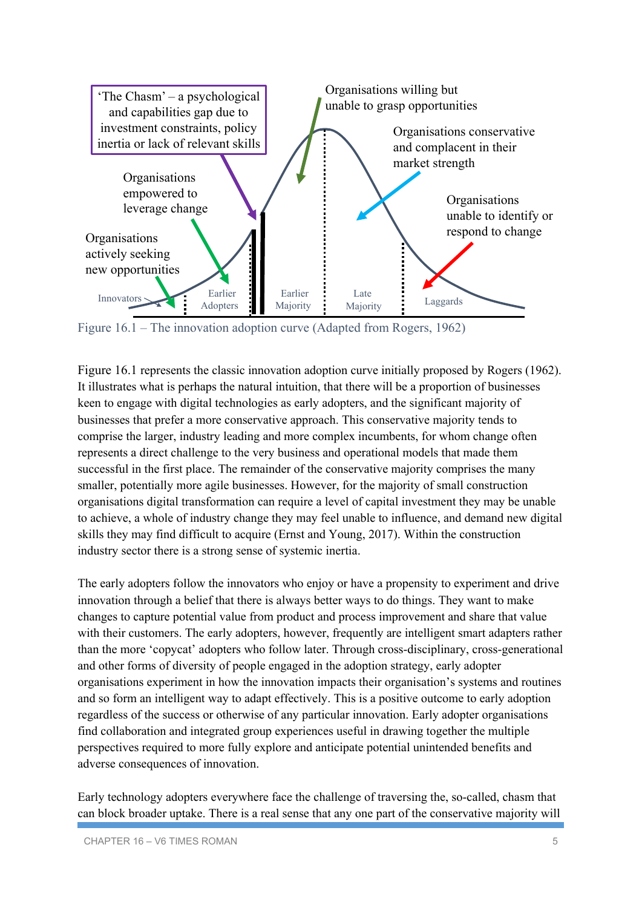

Figure 16.1 – The innovation adoption curve (Adapted from Rogers, 1962)

Figure 16.1 represents the classic innovation adoption curve initially proposed by Rogers (1962). It illustrates what is perhaps the natural intuition, that there will be a proportion of businesses keen to engage with digital technologies as early adopters, and the significant majority of businesses that prefer a more conservative approach. This conservative majority tends to comprise the larger, industry leading and more complex incumbents, for whom change often represents a direct challenge to the very business and operational models that made them successful in the first place. The remainder of the conservative majority comprises the many smaller, potentially more agile businesses. However, for the majority of small construction organisations digital transformation can require a level of capital investment they may be unable to achieve, a whole of industry change they may feel unable to influence, and demand new digital skills they may find difficult to acquire (Ernst and Young, 2017). Within the construction industry sector there is a strong sense of systemic inertia.

The early adopters follow the innovators who enjoy or have a propensity to experiment and drive innovation through a belief that there is always better ways to do things. They want to make changes to capture potential value from product and process improvement and share that value with their customers. The early adopters, however, frequently are intelligent smart adapters rather than the more 'copycat' adopters who follow later. Through cross-disciplinary, cross-generational and other forms of diversity of people engaged in the adoption strategy, early adopter organisations experiment in how the innovation impacts their organisation's systems and routines and so form an intelligent way to adapt effectively. This is a positive outcome to early adoption regardless of the success or otherwise of any particular innovation. Early adopter organisations find collaboration and integrated group experiences useful in drawing together the multiple perspectives required to more fully explore and anticipate potential unintended benefits and adverse consequences of innovation.

Early technology adopters everywhere face the challenge of traversing the, so-called, chasm that can block broader uptake. There is a real sense that any one part of the conservative majority will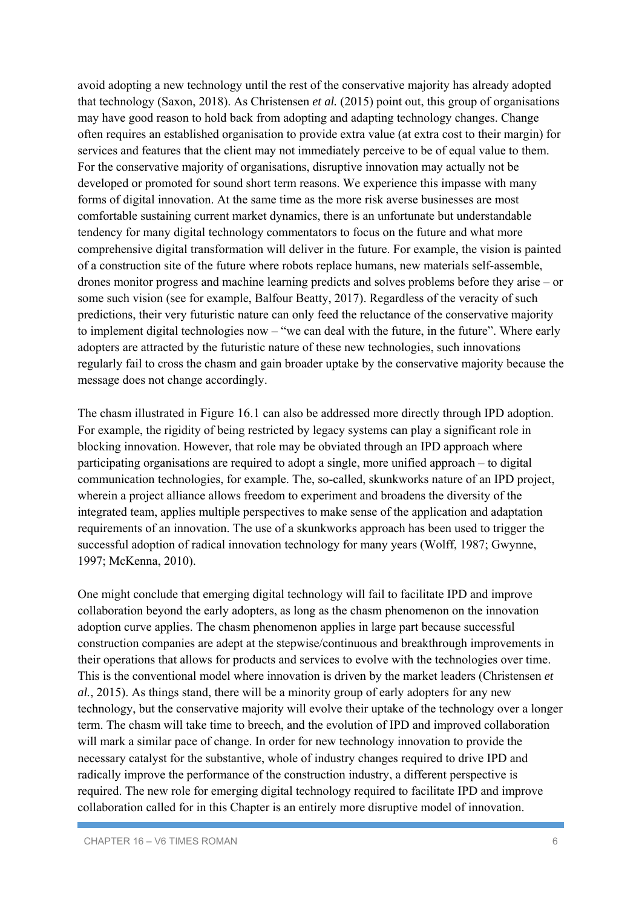avoid adopting a new technology until the rest of the conservative majority has already adopted that technology (Saxon, 2018). As Christensen *et al.* (2015) point out, this group of organisations may have good reason to hold back from adopting and adapting technology changes. Change often requires an established organisation to provide extra value (at extra cost to their margin) for services and features that the client may not immediately perceive to be of equal value to them. For the conservative majority of organisations, disruptive innovation may actually not be developed or promoted for sound short term reasons. We experience this impasse with many forms of digital innovation. At the same time as the more risk averse businesses are most comfortable sustaining current market dynamics, there is an unfortunate but understandable tendency for many digital technology commentators to focus on the future and what more comprehensive digital transformation will deliver in the future. For example, the vision is painted of a construction site of the future where robots replace humans, new materials self-assemble, drones monitor progress and machine learning predicts and solves problems before they arise – or some such vision (see for example, Balfour Beatty, 2017). Regardless of the veracity of such predictions, their very futuristic nature can only feed the reluctance of the conservative majority to implement digital technologies now – "we can deal with the future, in the future". Where early adopters are attracted by the futuristic nature of these new technologies, such innovations regularly fail to cross the chasm and gain broader uptake by the conservative majority because the message does not change accordingly.

The chasm illustrated in Figure 16.1 can also be addressed more directly through IPD adoption. For example, the rigidity of being restricted by legacy systems can play a significant role in blocking innovation. However, that role may be obviated through an IPD approach where participating organisations are required to adopt a single, more unified approach – to digital communication technologies, for example. The, so-called, skunkworks nature of an IPD project, wherein a project alliance allows freedom to experiment and broadens the diversity of the integrated team, applies multiple perspectives to make sense of the application and adaptation requirements of an innovation. The use of a skunkworks approach has been used to trigger the successful adoption of radical innovation technology for many years (Wolff, 1987; Gwynne, 1997; McKenna, 2010).

One might conclude that emerging digital technology will fail to facilitate IPD and improve collaboration beyond the early adopters, as long as the chasm phenomenon on the innovation adoption curve applies. The chasm phenomenon applies in large part because successful construction companies are adept at the stepwise/continuous and breakthrough improvements in their operations that allows for products and services to evolve with the technologies over time. This is the conventional model where innovation is driven by the market leaders (Christensen *et al.*, 2015). As things stand, there will be a minority group of early adopters for any new technology, but the conservative majority will evolve their uptake of the technology over a longer term. The chasm will take time to breech, and the evolution of IPD and improved collaboration will mark a similar pace of change. In order for new technology innovation to provide the necessary catalyst for the substantive, whole of industry changes required to drive IPD and radically improve the performance of the construction industry, a different perspective is required. The new role for emerging digital technology required to facilitate IPD and improve collaboration called for in this Chapter is an entirely more disruptive model of innovation.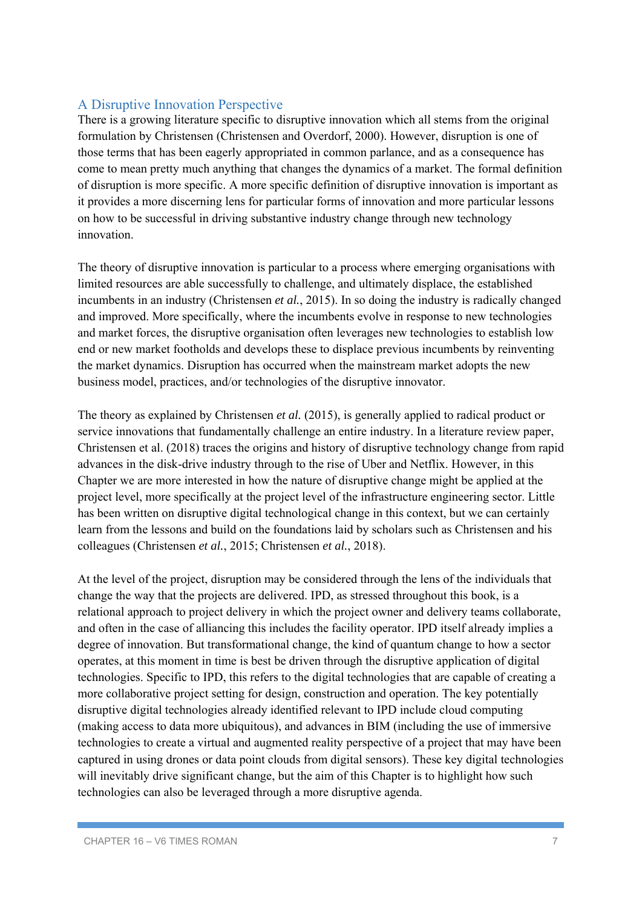## A Disruptive Innovation Perspective

There is a growing literature specific to disruptive innovation which all stems from the original formulation by Christensen (Christensen and Overdorf, 2000). However, disruption is one of those terms that has been eagerly appropriated in common parlance, and as a consequence has come to mean pretty much anything that changes the dynamics of a market. The formal definition of disruption is more specific. A more specific definition of disruptive innovation is important as it provides a more discerning lens for particular forms of innovation and more particular lessons on how to be successful in driving substantive industry change through new technology innovation.

The theory of disruptive innovation is particular to a process where emerging organisations with limited resources are able successfully to challenge, and ultimately displace, the established incumbents in an industry (Christensen *et al.*, 2015). In so doing the industry is radically changed and improved. More specifically, where the incumbents evolve in response to new technologies and market forces, the disruptive organisation often leverages new technologies to establish low end or new market footholds and develops these to displace previous incumbents by reinventing the market dynamics. Disruption has occurred when the mainstream market adopts the new business model, practices, and/or technologies of the disruptive innovator.

The theory as explained by Christensen *et al.* (2015), is generally applied to radical product or service innovations that fundamentally challenge an entire industry. In a literature review paper, Christensen et al. (2018) traces the origins and history of disruptive technology change from rapid advances in the disk-drive industry through to the rise of Uber and Netflix. However, in this Chapter we are more interested in how the nature of disruptive change might be applied at the project level, more specifically at the project level of the infrastructure engineering sector. Little has been written on disruptive digital technological change in this context, but we can certainly learn from the lessons and build on the foundations laid by scholars such as Christensen and his colleagues (Christensen *et al.*, 2015; Christensen *et al.*, 2018).

At the level of the project, disruption may be considered through the lens of the individuals that change the way that the projects are delivered. IPD, as stressed throughout this book, is a relational approach to project delivery in which the project owner and delivery teams collaborate, and often in the case of alliancing this includes the facility operator. IPD itself already implies a degree of innovation. But transformational change, the kind of quantum change to how a sector operates, at this moment in time is best be driven through the disruptive application of digital technologies. Specific to IPD, this refers to the digital technologies that are capable of creating a more collaborative project setting for design, construction and operation. The key potentially disruptive digital technologies already identified relevant to IPD include cloud computing (making access to data more ubiquitous), and advances in BIM (including the use of immersive technologies to create a virtual and augmented reality perspective of a project that may have been captured in using drones or data point clouds from digital sensors). These key digital technologies will inevitably drive significant change, but the aim of this Chapter is to highlight how such technologies can also be leveraged through a more disruptive agenda.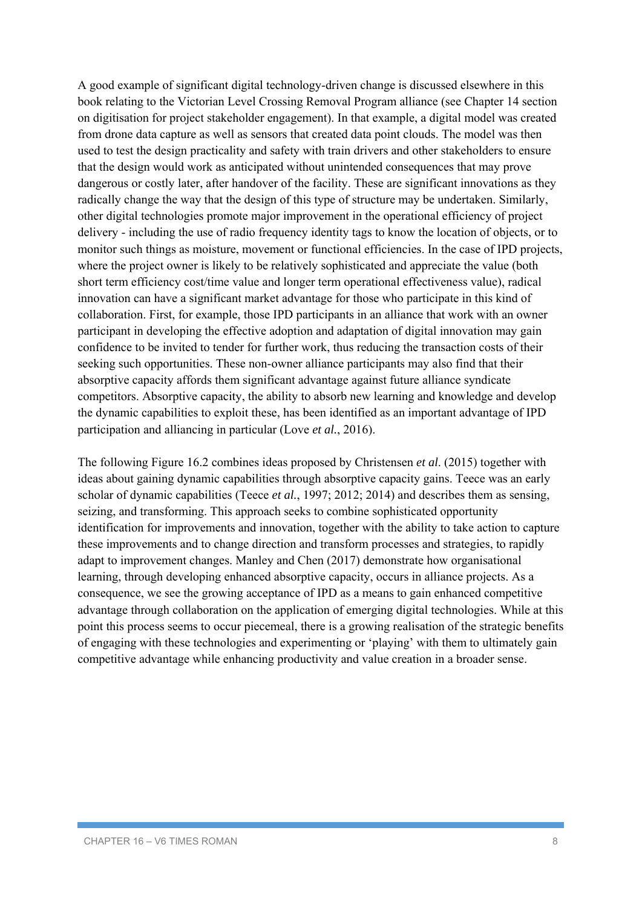A good example of significant digital technology-driven change is discussed elsewhere in this book relating to the Victorian Level Crossing Removal Program alliance (see Chapter 14 section on digitisation for project stakeholder engagement). In that example, a digital model was created from drone data capture as well as sensors that created data point clouds. The model was then used to test the design practicality and safety with train drivers and other stakeholders to ensure that the design would work as anticipated without unintended consequences that may prove dangerous or costly later, after handover of the facility. These are significant innovations as they radically change the way that the design of this type of structure may be undertaken. Similarly, other digital technologies promote major improvement in the operational efficiency of project delivery - including the use of radio frequency identity tags to know the location of objects, or to monitor such things as moisture, movement or functional efficiencies. In the case of IPD projects, where the project owner is likely to be relatively sophisticated and appreciate the value (both short term efficiency cost/time value and longer term operational effectiveness value), radical innovation can have a significant market advantage for those who participate in this kind of collaboration. First, for example, those IPD participants in an alliance that work with an owner participant in developing the effective adoption and adaptation of digital innovation may gain confidence to be invited to tender for further work, thus reducing the transaction costs of their seeking such opportunities. These non-owner alliance participants may also find that their absorptive capacity affords them significant advantage against future alliance syndicate competitors. Absorptive capacity, the ability to absorb new learning and knowledge and develop the dynamic capabilities to exploit these, has been identified as an important advantage of IPD participation and alliancing in particular (Love *et al.*, 2016).

The following Figure 16.2 combines ideas proposed by Christensen *et al*. (2015) together with ideas about gaining dynamic capabilities through absorptive capacity gains. Teece was an early scholar of dynamic capabilities (Teece *et al.*, 1997; 2012; 2014) and describes them as sensing, seizing, and transforming. This approach seeks to combine sophisticated opportunity identification for improvements and innovation, together with the ability to take action to capture these improvements and to change direction and transform processes and strategies, to rapidly adapt to improvement changes. Manley and Chen (2017) demonstrate how organisational learning, through developing enhanced absorptive capacity, occurs in alliance projects. As a consequence, we see the growing acceptance of IPD as a means to gain enhanced competitive advantage through collaboration on the application of emerging digital technologies. While at this point this process seems to occur piecemeal, there is a growing realisation of the strategic benefits of engaging with these technologies and experimenting or 'playing' with them to ultimately gain competitive advantage while enhancing productivity and value creation in a broader sense.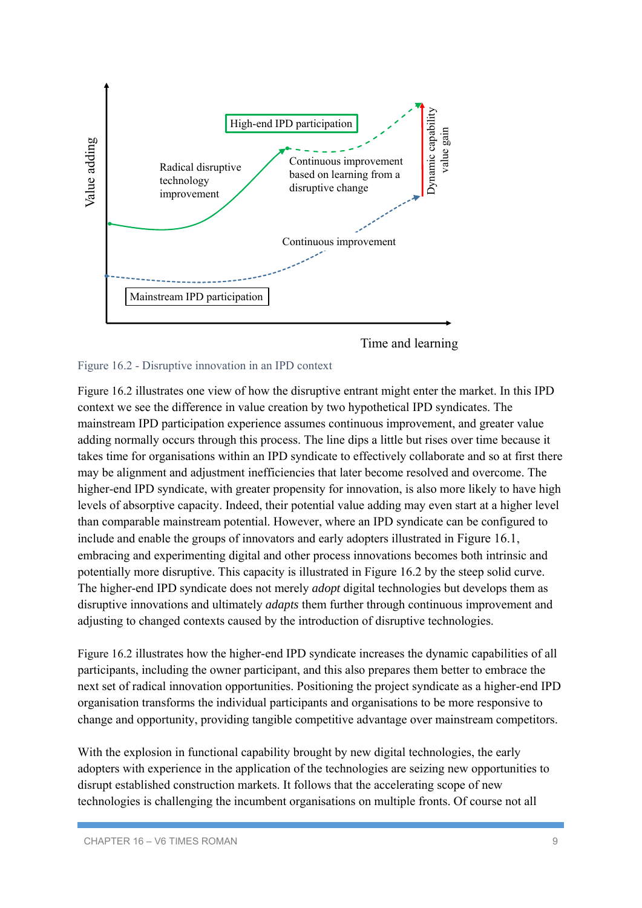

Time and learning

#### Figure 16.2 - Disruptive innovation in an IPD context

Figure 16.2 illustrates one view of how the disruptive entrant might enter the market. In this IPD context we see the difference in value creation by two hypothetical IPD syndicates. The mainstream IPD participation experience assumes continuous improvement, and greater value adding normally occurs through this process. The line dips a little but rises over time because it takes time for organisations within an IPD syndicate to effectively collaborate and so at first there may be alignment and adjustment inefficiencies that later become resolved and overcome. The higher-end IPD syndicate, with greater propensity for innovation, is also more likely to have high levels of absorptive capacity. Indeed, their potential value adding may even start at a higher level than comparable mainstream potential. However, where an IPD syndicate can be configured to include and enable the groups of innovators and early adopters illustrated in Figure 16.1, embracing and experimenting digital and other process innovations becomes both intrinsic and potentially more disruptive. This capacity is illustrated in Figure 16.2 by the steep solid curve. The higher-end IPD syndicate does not merely *adopt* digital technologies but develops them as disruptive innovations and ultimately *adapts* them further through continuous improvement and adjusting to changed contexts caused by the introduction of disruptive technologies. The theoretic constrained in the interest of the inclusion of the challengies is challengies increase is challengies in the inclusion of the inclusion of the incumbent organisations of the incurrent organisations on multip

Figure 16.2 illustrates how the higher-end IPD syndicate increases the dynamic capabilities of all participants, including the owner participant, and this also prepares them better to embrace the next set of radical innovation opportunities. Positioning the project syndicate as a higher-end IPD organisation transforms the individual participants and organisations to be more responsive to change and opportunity, providing tangible competitive advantage over mainstream competitors.

With the explosion in functional capability brought by new digital technologies, the early adopters with experience in the application of the technologies are seizing new opportunities to disrupt established construction markets. It follows that the accelerating scope of new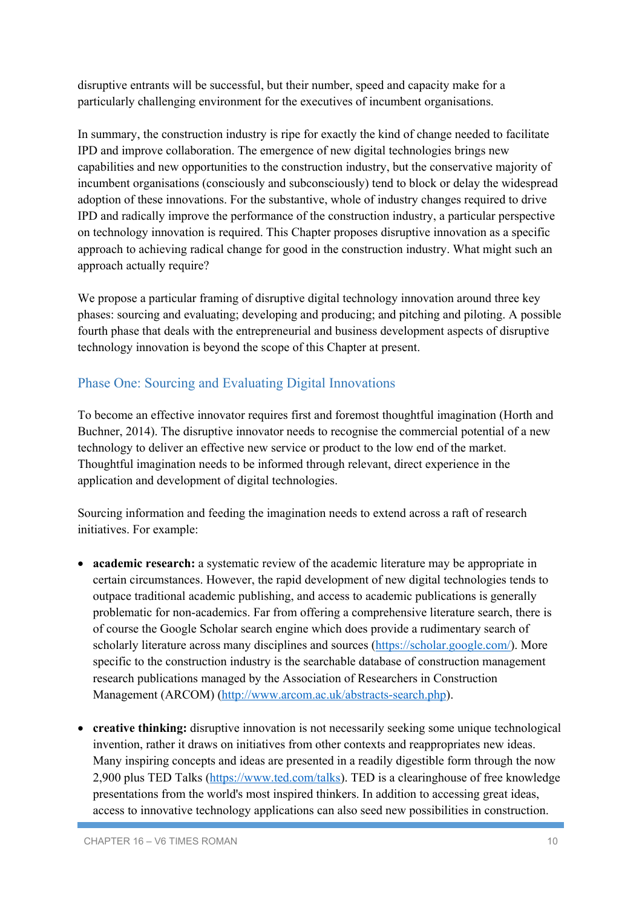disruptive entrants will be successful, but their number, speed and capacity make for a particularly challenging environment for the executives of incumbent organisations.

In summary, the construction industry is ripe for exactly the kind of change needed to facilitate IPD and improve collaboration. The emergence of new digital technologies brings new capabilities and new opportunities to the construction industry, but the conservative majority of incumbent organisations (consciously and subconsciously) tend to block or delay the widespread adoption of these innovations. For the substantive, whole of industry changes required to drive IPD and radically improve the performance of the construction industry, a particular perspective on technology innovation is required. This Chapter proposes disruptive innovation as a specific approach to achieving radical change for good in the construction industry. What might such an approach actually require?

We propose a particular framing of disruptive digital technology innovation around three key phases: sourcing and evaluating; developing and producing; and pitching and piloting. A possible fourth phase that deals with the entrepreneurial and business development aspects of disruptive technology innovation is beyond the scope of this Chapter at present.

# Phase One: Sourcing and Evaluating Digital Innovations

To become an effective innovator requires first and foremost thoughtful imagination (Horth and Buchner, 2014). The disruptive innovator needs to recognise the commercial potential of a new technology to deliver an effective new service or product to the low end of the market. Thoughtful imagination needs to be informed through relevant, direct experience in the application and development of digital technologies.

Sourcing information and feeding the imagination needs to extend across a raft of research initiatives. For example:

- **academic research:** a systematic review of the academic literature may be appropriate in certain circumstances. However, the rapid development of new digital technologies tends to outpace traditional academic publishing, and access to academic publications is generally problematic for non-academics. Far from offering a comprehensive literature search, there is of course the Google Scholar search engine which does provide a rudimentary search of scholarly literature across many disciplines and sources (https://scholar.google.com/). More specific to the construction industry is the searchable database of construction management research publications managed by the Association of Researchers in Construction Management (ARCOM) (http://www.arcom.ac.uk/abstracts-search.php).
- **•** creative thinking: disruptive innovation is not necessarily seeking some unique technological invention, rather it draws on initiatives from other contexts and reappropriates new ideas. Many inspiring concepts and ideas are presented in a readily digestible form through the now 2,900 plus TED Talks (https://www.ted.com/talks). TED is a clearinghouse of free knowledge presentations from the world's most inspired thinkers. In addition to accessing great ideas, access to innovative technology applications can also seed new possibilities in construction.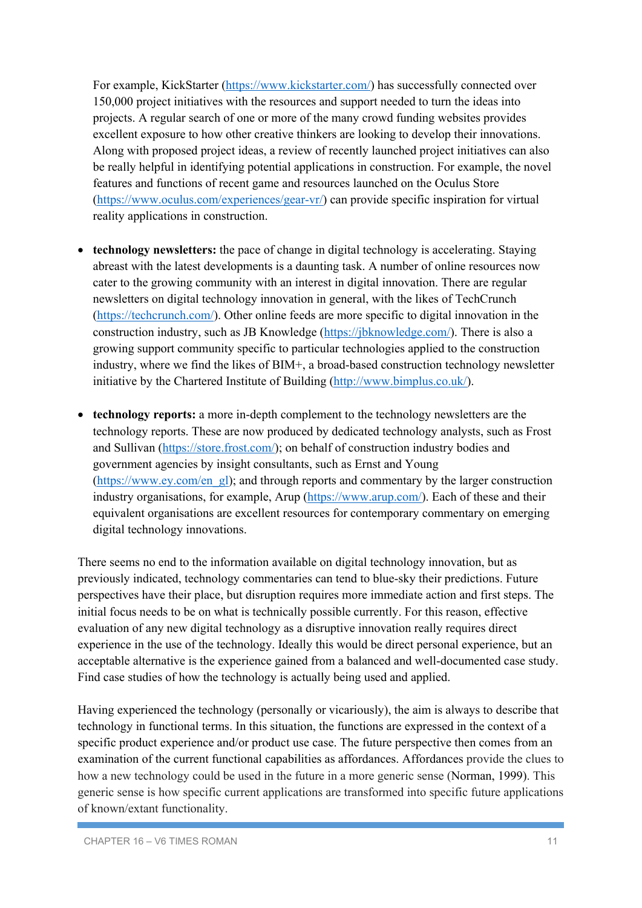For example, KickStarter (https://www.kickstarter.com/) has successfully connected over 150,000 project initiatives with the resources and support needed to turn the ideas into projects. A regular search of one or more of the many crowd funding websites provides excellent exposure to how other creative thinkers are looking to develop their innovations. Along with proposed project ideas, a review of recently launched project initiatives can also be really helpful in identifying potential applications in construction. For example, the novel features and functions of recent game and resources launched on the Oculus Store (https://www.oculus.com/experiences/gear-vr/) can provide specific inspiration for virtual reality applications in construction.

- **technology newsletters:** the pace of change in digital technology is accelerating. Staying abreast with the latest developments is a daunting task. A number of online resources now cater to the growing community with an interest in digital innovation. There are regular newsletters on digital technology innovation in general, with the likes of TechCrunch (https://techcrunch.com/). Other online feeds are more specific to digital innovation in the construction industry, such as JB Knowledge (https://jbknowledge.com/). There is also a growing support community specific to particular technologies applied to the construction industry, where we find the likes of BIM+, a broad-based construction technology newsletter initiative by the Chartered Institute of Building (http://www.bimplus.co.uk/).
- **technology reports:** a more in-depth complement to the technology newsletters are the technology reports. These are now produced by dedicated technology analysts, such as Frost and Sullivan (https://store.frost.com/); on behalf of construction industry bodies and government agencies by insight consultants, such as Ernst and Young (https://www.ey.com/en\_gl); and through reports and commentary by the larger construction industry organisations, for example, Arup (https://www.arup.com/). Each of these and their equivalent organisations are excellent resources for contemporary commentary on emerging digital technology innovations.

There seems no end to the information available on digital technology innovation, but as previously indicated, technology commentaries can tend to blue-sky their predictions. Future perspectives have their place, but disruption requires more immediate action and first steps. The initial focus needs to be on what is technically possible currently. For this reason, effective evaluation of any new digital technology as a disruptive innovation really requires direct experience in the use of the technology. Ideally this would be direct personal experience, but an acceptable alternative is the experience gained from a balanced and well-documented case study. Find case studies of how the technology is actually being used and applied.

Having experienced the technology (personally or vicariously), the aim is always to describe that technology in functional terms. In this situation, the functions are expressed in the context of a specific product experience and/or product use case. The future perspective then comes from an examination of the current functional capabilities as affordances. Affordances provide the clues to how a new technology could be used in the future in a more generic sense (Norman, 1999). This generic sense is how specific current applications are transformed into specific future applications of known/extant functionality.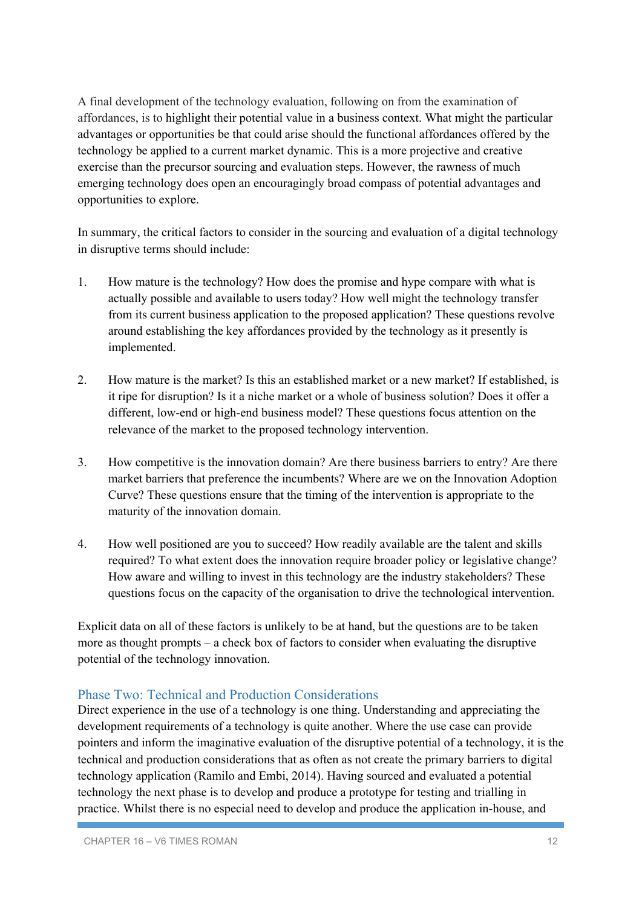A final development of the technology evaluation, following on from the examination of affordances, is to highlight their potential value in a business context. What might the particular advantages or opportunities be that could arise should the functional affordances offered by the technology be applied to a current market dynamic. This is a more projective and creative exercise than the precursor sourcing and evaluation steps. However, the rawness of much emerging technology does open an encouragingly broad compass of potential advantages and opportunities to explore.

In summary, the critical factors to consider in the sourcing and evaluation of a digital technology in disruptive terms should include:

- 1. How mature is the technology? How does the promise and hype compare with what is actually possible and available to users today? How well might the technology transfer from its current business application to the proposed application? These questions revolve around establishing the key affordances provided by the technology as it presently is implemented.
- 2. How mature is the market? Is this an established market or a new market? If established, is it ripe for disruption? Is it a niche market or a whole of business solution? Does it offer a different, low-end or high-end business model? These questions focus attention on the relevance of the market to the proposed technology intervention.
- 3. How competitive is the innovation domain? Are there business barriers to entry? Are there market barriers that preference the incumbents? Where are we on the Innovation Adoption Curve? These questions ensure that the timing of the intervention is appropriate to the maturity of the innovation domain.
- 4. How well positioned are you to succeed? How readily available are the talent and skills required? To what extent does the innovation require broader policy or legislative change? How aware and willing to invest in this technology are the industry stakeholders? These questions focus on the capacity of the organisation to drive the technological intervention.

Explicit data on all of these factors is unlikely to be at hand, but the questions are to be taken more as thought prompts – a check box of factors to consider when evaluating the disruptive potential of the technology innovation.

## Phase Two: Technical and Production Considerations

Direct experience in the use of a technology is one thing. Understanding and appreciating the development requirements of a technology is quite another. Where the use case can provide pointers and inform the imaginative evaluation of the disruptive potential of a technology, it is the technical and production considerations that as often as not create the primary barriers to digital technology application (Ramilo and Embi, 2014). Having sourced and evaluated a potential technology the next phase is to develop and produce a prototype for testing and trialling in practice. Whilst there is no especial need to develop and produce the application in-house, and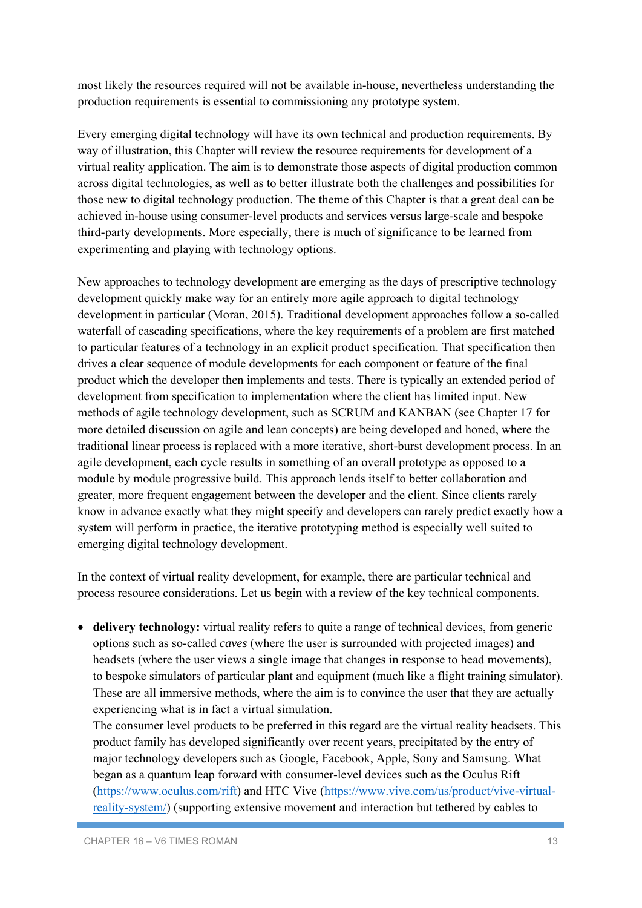most likely the resources required will not be available in-house, nevertheless understanding the production requirements is essential to commissioning any prototype system.

Every emerging digital technology will have its own technical and production requirements. By way of illustration, this Chapter will review the resource requirements for development of a virtual reality application. The aim is to demonstrate those aspects of digital production common across digital technologies, as well as to better illustrate both the challenges and possibilities for those new to digital technology production. The theme of this Chapter is that a great deal can be achieved in-house using consumer-level products and services versus large-scale and bespoke third-party developments. More especially, there is much of significance to be learned from experimenting and playing with technology options.

New approaches to technology development are emerging as the days of prescriptive technology development quickly make way for an entirely more agile approach to digital technology development in particular (Moran, 2015). Traditional development approaches follow a so-called waterfall of cascading specifications, where the key requirements of a problem are first matched to particular features of a technology in an explicit product specification. That specification then drives a clear sequence of module developments for each component or feature of the final product which the developer then implements and tests. There is typically an extended period of development from specification to implementation where the client has limited input. New methods of agile technology development, such as SCRUM and KANBAN (see Chapter 17 for more detailed discussion on agile and lean concepts) are being developed and honed, where the traditional linear process is replaced with a more iterative, short-burst development process. In an agile development, each cycle results in something of an overall prototype as opposed to a module by module progressive build. This approach lends itself to better collaboration and greater, more frequent engagement between the developer and the client. Since clients rarely know in advance exactly what they might specify and developers can rarely predict exactly how a system will perform in practice, the iterative prototyping method is especially well suited to emerging digital technology development.

In the context of virtual reality development, for example, there are particular technical and process resource considerations. Let us begin with a review of the key technical components.

 **delivery technology:** virtual reality refers to quite a range of technical devices, from generic options such as so-called *caves* (where the user is surrounded with projected images) and headsets (where the user views a single image that changes in response to head movements), to bespoke simulators of particular plant and equipment (much like a flight training simulator). These are all immersive methods, where the aim is to convince the user that they are actually experiencing what is in fact a virtual simulation.

The consumer level products to be preferred in this regard are the virtual reality headsets. This product family has developed significantly over recent years, precipitated by the entry of major technology developers such as Google, Facebook, Apple, Sony and Samsung. What began as a quantum leap forward with consumer-level devices such as the Oculus Rift (https://www.oculus.com/rift) and HTC Vive (https://www.vive.com/us/product/vive-virtualreality-system/) (supporting extensive movement and interaction but tethered by cables to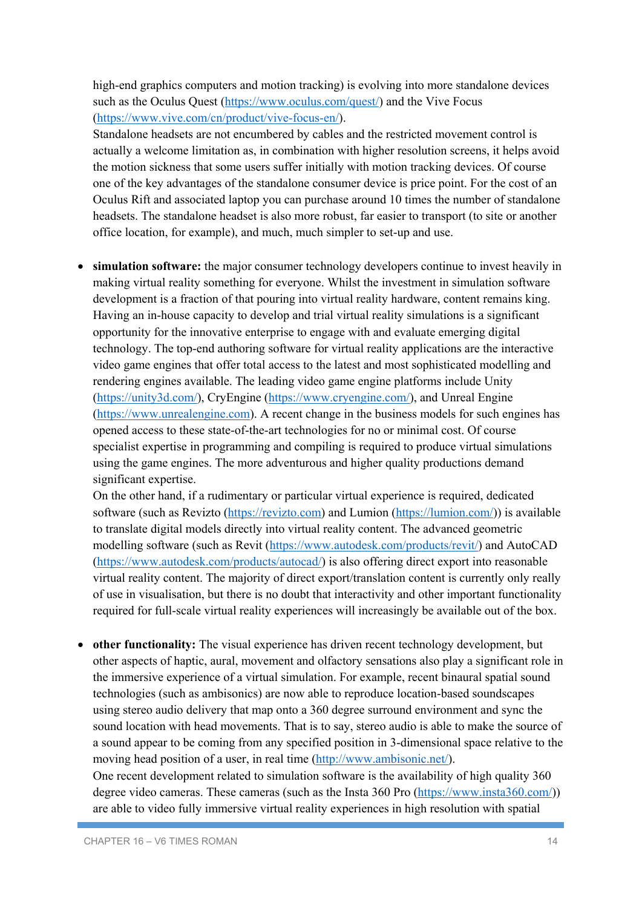high-end graphics computers and motion tracking) is evolving into more standalone devices such as the Oculus Quest (https://www.oculus.com/quest/) and the Vive Focus (https://www.vive.com/cn/product/vive-focus-en/).

Standalone headsets are not encumbered by cables and the restricted movement control is actually a welcome limitation as, in combination with higher resolution screens, it helps avoid the motion sickness that some users suffer initially with motion tracking devices. Of course one of the key advantages of the standalone consumer device is price point. For the cost of an Oculus Rift and associated laptop you can purchase around 10 times the number of standalone headsets. The standalone headset is also more robust, far easier to transport (to site or another office location, for example), and much, much simpler to set-up and use.

 **simulation software:** the major consumer technology developers continue to invest heavily in making virtual reality something for everyone. Whilst the investment in simulation software development is a fraction of that pouring into virtual reality hardware, content remains king. Having an in-house capacity to develop and trial virtual reality simulations is a significant opportunity for the innovative enterprise to engage with and evaluate emerging digital technology. The top-end authoring software for virtual reality applications are the interactive video game engines that offer total access to the latest and most sophisticated modelling and rendering engines available. The leading video game engine platforms include Unity (https://unity3d.com/), CryEngine (https://www.cryengine.com/), and Unreal Engine (https://www.unrealengine.com). A recent change in the business models for such engines has opened access to these state-of-the-art technologies for no or minimal cost. Of course specialist expertise in programming and compiling is required to produce virtual simulations using the game engines. The more adventurous and higher quality productions demand significant expertise.

On the other hand, if a rudimentary or particular virtual experience is required, dedicated software (such as Revizto (https://revizto.com) and Lumion (https://lumion.com/)) is available to translate digital models directly into virtual reality content. The advanced geometric modelling software (such as Revit (https://www.autodesk.com/products/revit/) and AutoCAD (https://www.autodesk.com/products/autocad/) is also offering direct export into reasonable virtual reality content. The majority of direct export/translation content is currently only really of use in visualisation, but there is no doubt that interactivity and other important functionality required for full-scale virtual reality experiences will increasingly be available out of the box.

 **other functionality:** The visual experience has driven recent technology development, but other aspects of haptic, aural, movement and olfactory sensations also play a significant role in the immersive experience of a virtual simulation. For example, recent binaural spatial sound technologies (such as ambisonics) are now able to reproduce location-based soundscapes using stereo audio delivery that map onto a 360 degree surround environment and sync the sound location with head movements. That is to say, stereo audio is able to make the source of a sound appear to be coming from any specified position in 3-dimensional space relative to the moving head position of a user, in real time (http://www.ambisonic.net/).

One recent development related to simulation software is the availability of high quality 360 degree video cameras. These cameras (such as the Insta 360 Pro (https://www.insta360.com/)) are able to video fully immersive virtual reality experiences in high resolution with spatial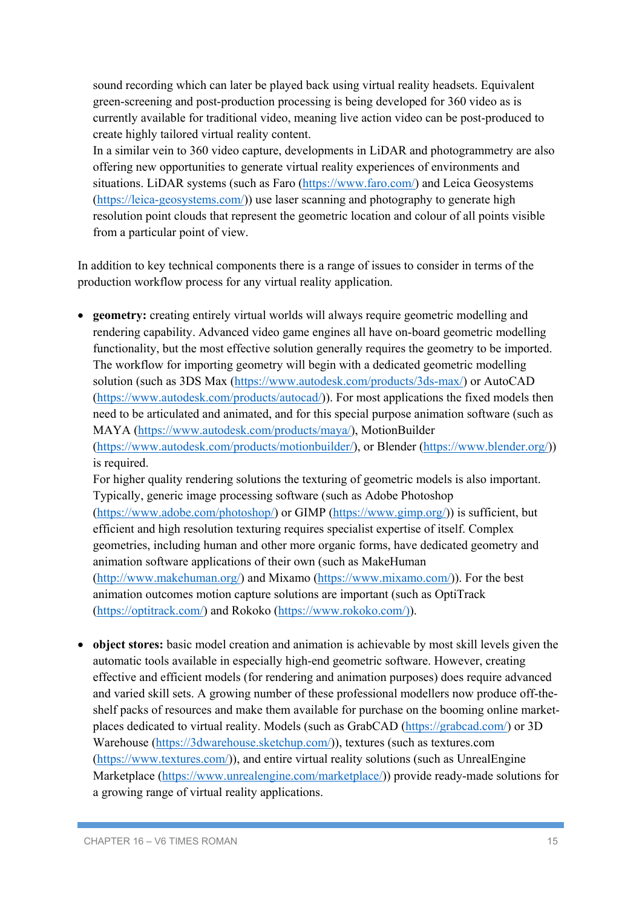sound recording which can later be played back using virtual reality headsets. Equivalent green-screening and post-production processing is being developed for 360 video as is currently available for traditional video, meaning live action video can be post-produced to create highly tailored virtual reality content.

In a similar vein to 360 video capture, developments in LiDAR and photogrammetry are also offering new opportunities to generate virtual reality experiences of environments and situations. LiDAR systems (such as Faro (https://www.faro.com/) and Leica Geosystems (https://leica-geosystems.com/)) use laser scanning and photography to generate high resolution point clouds that represent the geometric location and colour of all points visible from a particular point of view.

In addition to key technical components there is a range of issues to consider in terms of the production workflow process for any virtual reality application.

 **geometry:** creating entirely virtual worlds will always require geometric modelling and rendering capability. Advanced video game engines all have on-board geometric modelling functionality, but the most effective solution generally requires the geometry to be imported. The workflow for importing geometry will begin with a dedicated geometric modelling solution (such as 3DS Max (https://www.autodesk.com/products/3ds-max/) or AutoCAD (https://www.autodesk.com/products/autocad/)). For most applications the fixed models then need to be articulated and animated, and for this special purpose animation software (such as MAYA (https://www.autodesk.com/products/maya/), MotionBuilder (https://www.autodesk.com/products/motionbuilder/), or Blender (https://www.blender.org/)) is required. For higher quality rendering solutions the texturing of geometric models is also important. Typically, generic image processing software (such as Adobe Photoshop

(https://www.adobe.com/photoshop/) or GIMP (https://www.gimp.org/)) is sufficient, but efficient and high resolution texturing requires specialist expertise of itself. Complex geometries, including human and other more organic forms, have dedicated geometry and animation software applications of their own (such as MakeHuman (http://www.makehuman.org/) and Mixamo (https://www.mixamo.com/)). For the best animation outcomes motion capture solutions are important (such as OptiTrack (https://optitrack.com/) and Rokoko (https://www.rokoko.com/)).

 **object stores:** basic model creation and animation is achievable by most skill levels given the automatic tools available in especially high-end geometric software. However, creating effective and efficient models (for rendering and animation purposes) does require advanced and varied skill sets. A growing number of these professional modellers now produce off-theshelf packs of resources and make them available for purchase on the booming online marketplaces dedicated to virtual reality. Models (such as GrabCAD (https://grabcad.com/) or 3D Warehouse (https://3dwarehouse.sketchup.com/)), textures (such as textures.com (https://www.textures.com/)), and entire virtual reality solutions (such as UnrealEngine Marketplace (https://www.unrealengine.com/marketplace/)) provide ready-made solutions for a growing range of virtual reality applications.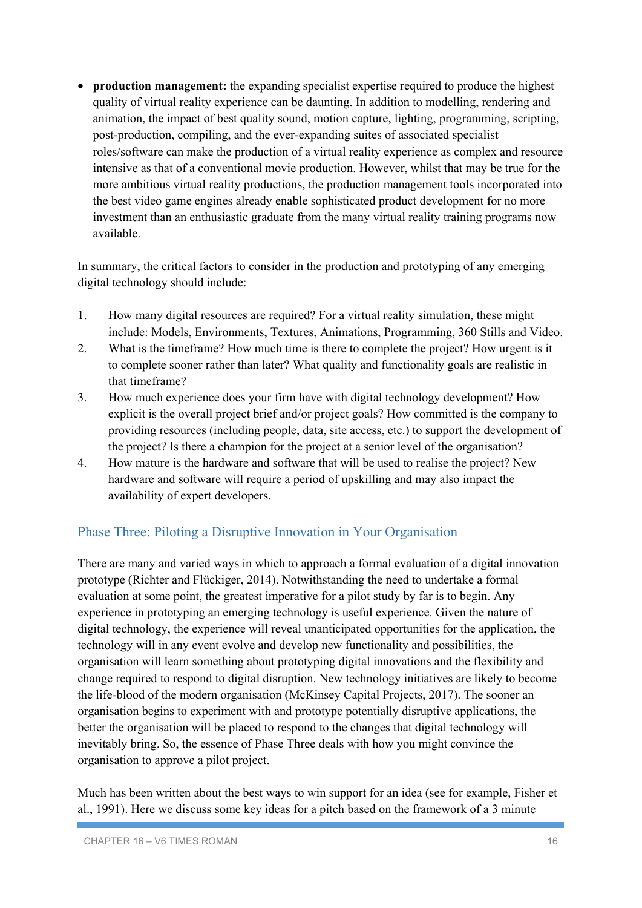**production management:** the expanding specialist expertise required to produce the highest quality of virtual reality experience can be daunting. In addition to modelling, rendering and animation, the impact of best quality sound, motion capture, lighting, programming, scripting, post-production, compiling, and the ever-expanding suites of associated specialist roles/software can make the production of a virtual reality experience as complex and resource intensive as that of a conventional movie production. However, whilst that may be true for the more ambitious virtual reality productions, the production management tools incorporated into the best video game engines already enable sophisticated product development for no more investment than an enthusiastic graduate from the many virtual reality training programs now available.

In summary, the critical factors to consider in the production and prototyping of any emerging digital technology should include:

- 1. How many digital resources are required? For a virtual reality simulation, these might include: Models, Environments, Textures, Animations, Programming, 360 Stills and Video.
- 2. What is the timeframe? How much time is there to complete the project? How urgent is it to complete sooner rather than later? What quality and functionality goals are realistic in that timeframe?
- 3. How much experience does your firm have with digital technology development? How explicit is the overall project brief and/or project goals? How committed is the company to providing resources (including people, data, site access, etc.) to support the development of the project? Is there a champion for the project at a senior level of the organisation?
- 4. How mature is the hardware and software that will be used to realise the project? New hardware and software will require a period of upskilling and may also impact the availability of expert developers.

# Phase Three: Piloting a Disruptive Innovation in Your Organisation

There are many and varied ways in which to approach a formal evaluation of a digital innovation prototype (Richter and Flückiger, 2014). Notwithstanding the need to undertake a formal evaluation at some point, the greatest imperative for a pilot study by far is to begin. Any experience in prototyping an emerging technology is useful experience. Given the nature of digital technology, the experience will reveal unanticipated opportunities for the application, the technology will in any event evolve and develop new functionality and possibilities, the organisation will learn something about prototyping digital innovations and the flexibility and change required to respond to digital disruption. New technology initiatives are likely to become the life-blood of the modern organisation (McKinsey Capital Projects, 2017). The sooner an organisation begins to experiment with and prototype potentially disruptive applications, the better the organisation will be placed to respond to the changes that digital technology will inevitably bring. So, the essence of Phase Three deals with how you might convince the organisation to approve a pilot project.

Much has been written about the best ways to win support for an idea (see for example, Fisher et al., 1991). Here we discuss some key ideas for a pitch based on the framework of a 3 minute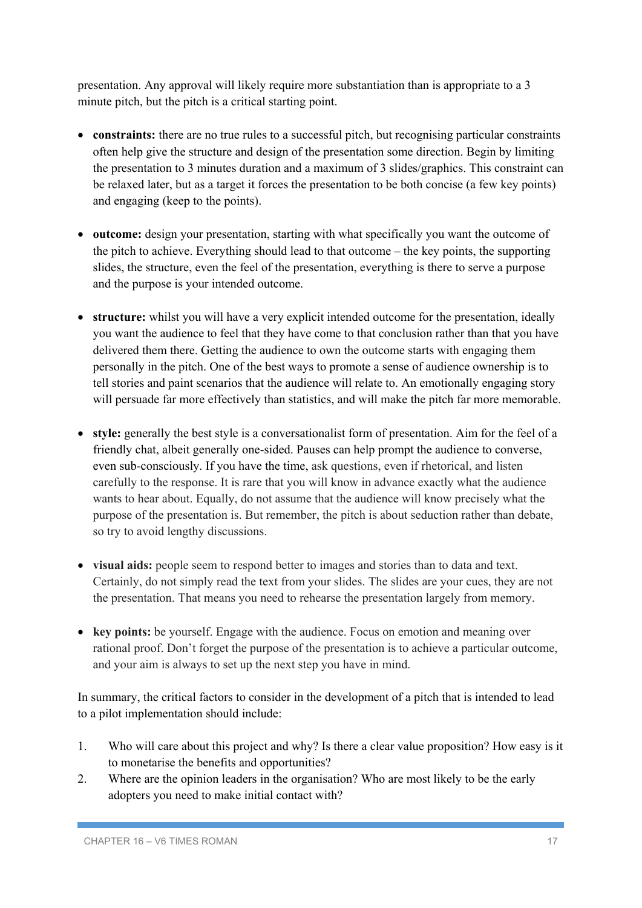presentation. Any approval will likely require more substantiation than is appropriate to a 3 minute pitch, but the pitch is a critical starting point.

- **constraints:** there are no true rules to a successful pitch, but recognising particular constraints often help give the structure and design of the presentation some direction. Begin by limiting the presentation to 3 minutes duration and a maximum of 3 slides/graphics. This constraint can be relaxed later, but as a target it forces the presentation to be both concise (a few key points) and engaging (keep to the points).
- **outcome:** design your presentation, starting with what specifically you want the outcome of the pitch to achieve. Everything should lead to that outcome – the key points, the supporting slides, the structure, even the feel of the presentation, everything is there to serve a purpose and the purpose is your intended outcome.
- **structure:** whilst you will have a very explicit intended outcome for the presentation, ideally you want the audience to feel that they have come to that conclusion rather than that you have delivered them there. Getting the audience to own the outcome starts with engaging them personally in the pitch. One of the best ways to promote a sense of audience ownership is to tell stories and paint scenarios that the audience will relate to. An emotionally engaging story will persuade far more effectively than statistics, and will make the pitch far more memorable.
- **style:** generally the best style is a conversationalist form of presentation. Aim for the feel of a friendly chat, albeit generally one-sided. Pauses can help prompt the audience to converse, even sub-consciously. If you have the time, ask questions, even if rhetorical, and listen carefully to the response. It is rare that you will know in advance exactly what the audience wants to hear about. Equally, do not assume that the audience will know precisely what the purpose of the presentation is. But remember, the pitch is about seduction rather than debate, so try to avoid lengthy discussions.
- **visual aids:** people seem to respond better to images and stories than to data and text. Certainly, do not simply read the text from your slides. The slides are your cues, they are not the presentation. That means you need to rehearse the presentation largely from memory.
- **key points:** be yourself. Engage with the audience. Focus on emotion and meaning over rational proof. Don't forget the purpose of the presentation is to achieve a particular outcome, and your aim is always to set up the next step you have in mind.

In summary, the critical factors to consider in the development of a pitch that is intended to lead to a pilot implementation should include:

- 1. Who will care about this project and why? Is there a clear value proposition? How easy is it to monetarise the benefits and opportunities?
- 2. Where are the opinion leaders in the organisation? Who are most likely to be the early adopters you need to make initial contact with?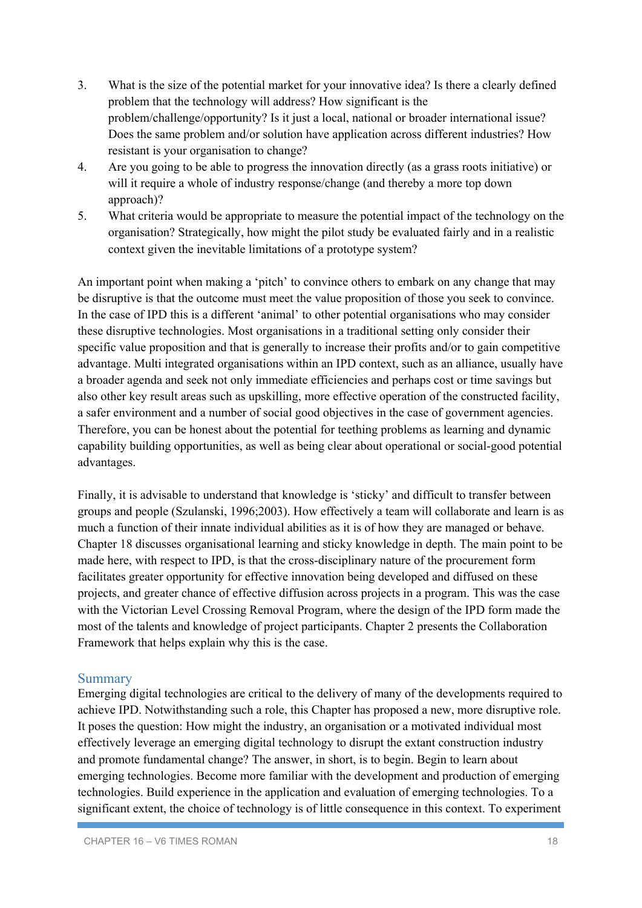- 3. What is the size of the potential market for your innovative idea? Is there a clearly defined problem that the technology will address? How significant is the problem/challenge/opportunity? Is it just a local, national or broader international issue? Does the same problem and/or solution have application across different industries? How resistant is your organisation to change?
- 4. Are you going to be able to progress the innovation directly (as a grass roots initiative) or will it require a whole of industry response/change (and thereby a more top down approach)?
- 5. What criteria would be appropriate to measure the potential impact of the technology on the organisation? Strategically, how might the pilot study be evaluated fairly and in a realistic context given the inevitable limitations of a prototype system?

An important point when making a 'pitch' to convince others to embark on any change that may be disruptive is that the outcome must meet the value proposition of those you seek to convince. In the case of IPD this is a different 'animal' to other potential organisations who may consider these disruptive technologies. Most organisations in a traditional setting only consider their specific value proposition and that is generally to increase their profits and/or to gain competitive advantage. Multi integrated organisations within an IPD context, such as an alliance, usually have a broader agenda and seek not only immediate efficiencies and perhaps cost or time savings but also other key result areas such as upskilling, more effective operation of the constructed facility, a safer environment and a number of social good objectives in the case of government agencies. Therefore, you can be honest about the potential for teething problems as learning and dynamic capability building opportunities, as well as being clear about operational or social-good potential advantages.

Finally, it is advisable to understand that knowledge is 'sticky' and difficult to transfer between groups and people (Szulanski, 1996;2003). How effectively a team will collaborate and learn is as much a function of their innate individual abilities as it is of how they are managed or behave. Chapter 18 discusses organisational learning and sticky knowledge in depth. The main point to be made here, with respect to IPD, is that the cross-disciplinary nature of the procurement form facilitates greater opportunity for effective innovation being developed and diffused on these projects, and greater chance of effective diffusion across projects in a program. This was the case with the Victorian Level Crossing Removal Program, where the design of the IPD form made the most of the talents and knowledge of project participants. Chapter 2 presents the Collaboration Framework that helps explain why this is the case.

### Summary

Emerging digital technologies are critical to the delivery of many of the developments required to achieve IPD. Notwithstanding such a role, this Chapter has proposed a new, more disruptive role. It poses the question: How might the industry, an organisation or a motivated individual most effectively leverage an emerging digital technology to disrupt the extant construction industry and promote fundamental change? The answer, in short, is to begin. Begin to learn about emerging technologies. Become more familiar with the development and production of emerging technologies. Build experience in the application and evaluation of emerging technologies. To a significant extent, the choice of technology is of little consequence in this context. To experiment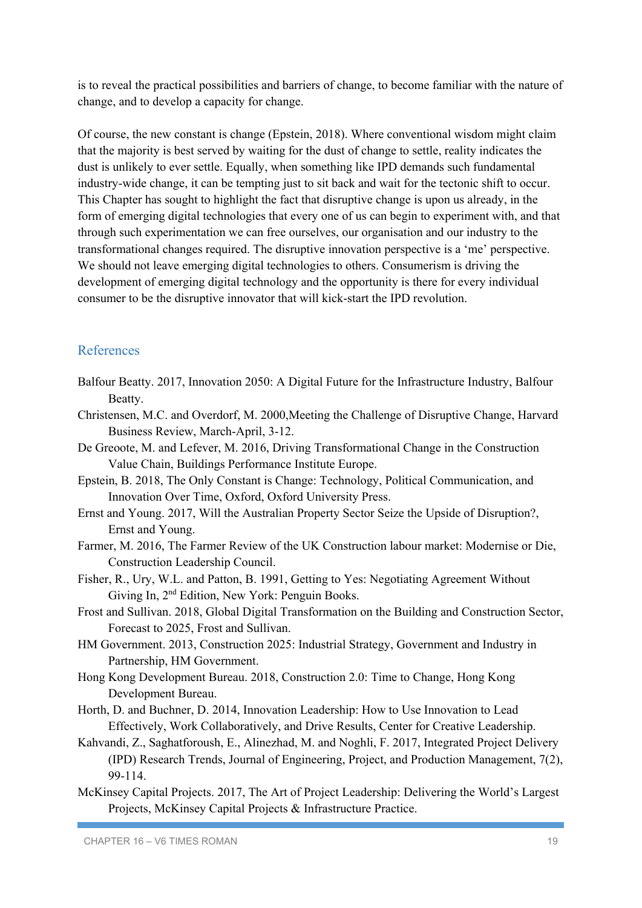is to reveal the practical possibilities and barriers of change, to become familiar with the nature of change, and to develop a capacity for change.

Of course, the new constant is change (Epstein, 2018). Where conventional wisdom might claim that the majority is best served by waiting for the dust of change to settle, reality indicates the dust is unlikely to ever settle. Equally, when something like IPD demands such fundamental industry-wide change, it can be tempting just to sit back and wait for the tectonic shift to occur. This Chapter has sought to highlight the fact that disruptive change is upon us already, in the form of emerging digital technologies that every one of us can begin to experiment with, and that through such experimentation we can free ourselves, our organisation and our industry to the transformational changes required. The disruptive innovation perspective is a 'me' perspective. We should not leave emerging digital technologies to others. Consumerism is driving the development of emerging digital technology and the opportunity is there for every individual consumer to be the disruptive innovator that will kick-start the IPD revolution.

## References

- Balfour Beatty. 2017, Innovation 2050: A Digital Future for the Infrastructure Industry, Balfour Beatty.
- Christensen, M.C. and Overdorf, M. 2000,Meeting the Challenge of Disruptive Change, Harvard Business Review, March-April, 3-12.
- De Greoote, M. and Lefever, M. 2016, Driving Transformational Change in the Construction Value Chain, Buildings Performance Institute Europe.
- Epstein, B. 2018, The Only Constant is Change: Technology, Political Communication, and Innovation Over Time, Oxford, Oxford University Press.
- Ernst and Young. 2017, Will the Australian Property Sector Seize the Upside of Disruption?, Ernst and Young.
- Farmer, M. 2016, The Farmer Review of the UK Construction labour market: Modernise or Die, Construction Leadership Council.
- Fisher, R., Ury, W.L. and Patton, B. 1991, Getting to Yes: Negotiating Agreement Without Giving In, 2nd Edition, New York: Penguin Books.
- Frost and Sullivan. 2018, Global Digital Transformation on the Building and Construction Sector, Forecast to 2025, Frost and Sullivan.
- HM Government. 2013, Construction 2025: Industrial Strategy, Government and Industry in Partnership, HM Government.
- Hong Kong Development Bureau. 2018, Construction 2.0: Time to Change, Hong Kong Development Bureau.
- Horth, D. and Buchner, D. 2014, Innovation Leadership: How to Use Innovation to Lead Effectively, Work Collaboratively, and Drive Results, Center for Creative Leadership.
- Kahvandi, Z., Saghatforoush, E., Alinezhad, M. and Noghli, F. 2017, Integrated Project Delivery (IPD) Research Trends, Journal of Engineering, Project, and Production Management, 7(2), 99-114.
- McKinsey Capital Projects. 2017, The Art of Project Leadership: Delivering the World's Largest Projects, McKinsey Capital Projects & Infrastructure Practice.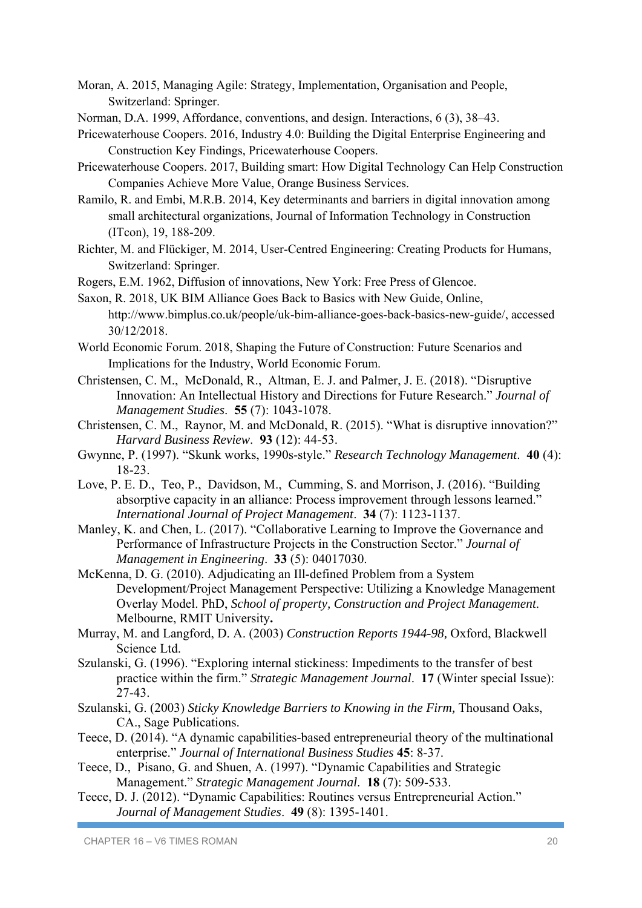Moran, A. 2015, Managing Agile: Strategy, Implementation, Organisation and People, Switzerland: Springer.

Norman, D.A. 1999, Affordance, conventions, and design. Interactions, 6 (3), 38–43.

Pricewaterhouse Coopers. 2016, Industry 4.0: Building the Digital Enterprise Engineering and Construction Key Findings, Pricewaterhouse Coopers.

- Pricewaterhouse Coopers. 2017, Building smart: How Digital Technology Can Help Construction Companies Achieve More Value, Orange Business Services.
- Ramilo, R. and Embi, M.R.B. 2014, Key determinants and barriers in digital innovation among small architectural organizations, Journal of Information Technology in Construction (ITcon), 19, 188-209.
- Richter, M. and Flückiger, M. 2014, User-Centred Engineering: Creating Products for Humans, Switzerland: Springer.
- Rogers, E.M. 1962, Diffusion of innovations, New York: Free Press of Glencoe.
- Saxon, R. 2018, UK BIM Alliance Goes Back to Basics with New Guide, Online, http://www.bimplus.co.uk/people/uk-bim-alliance-goes-back-basics-new-guide/, accessed 30/12/2018.
- World Economic Forum. 2018, Shaping the Future of Construction: Future Scenarios and Implications for the Industry, World Economic Forum.
- Christensen, C. M., McDonald, R., Altman, E. J. and Palmer, J. E. (2018). "Disruptive Innovation: An Intellectual History and Directions for Future Research." *Journal of Management Studies*. **55** (7): 1043-1078.
- Christensen, C. M., Raynor, M. and McDonald, R. (2015). "What is disruptive innovation?" *Harvard Business Review*. **93** (12): 44-53.
- Gwynne, P. (1997). "Skunk works, 1990s-style." *Research Technology Management*. **40** (4): 18-23.
- Love, P. E. D., Teo, P., Davidson, M., Cumming, S. and Morrison, J. (2016). "Building absorptive capacity in an alliance: Process improvement through lessons learned." *International Journal of Project Management*. **34** (7): 1123-1137.
- Manley, K. and Chen, L. (2017). "Collaborative Learning to Improve the Governance and Performance of Infrastructure Projects in the Construction Sector." *Journal of Management in Engineering*. **33** (5): 04017030.
- McKenna, D. G. (2010). Adjudicating an Ill-defined Problem from a System Development/Project Management Perspective: Utilizing a Knowledge Management Overlay Model. PhD, *School of property, Construction and Project Management*. Melbourne, RMIT University**.**
- Murray, M. and Langford, D. A. (2003) *Construction Reports 1944-98,* Oxford, Blackwell Science Ltd.
- Szulanski, G. (1996). "Exploring internal stickiness: Impediments to the transfer of best practice within the firm." *Strategic Management Journal*. **17** (Winter special Issue): 27-43.
- Szulanski, G. (2003) *Sticky Knowledge Barriers to Knowing in the Firm,* Thousand Oaks, CA., Sage Publications.
- Teece, D. (2014). "A dynamic capabilities-based entrepreneurial theory of the multinational enterprise." *Journal of International Business Studies* **45**: 8-37.
- Teece, D., Pisano, G. and Shuen, A. (1997). "Dynamic Capabilities and Strategic Management." *Strategic Management Journal*. **18** (7): 509-533.
- Teece, D. J. (2012). "Dynamic Capabilities: Routines versus Entrepreneurial Action." *Journal of Management Studies*. **49** (8): 1395-1401.

CHAPTER 16 – V6 TIMES ROMAN 20